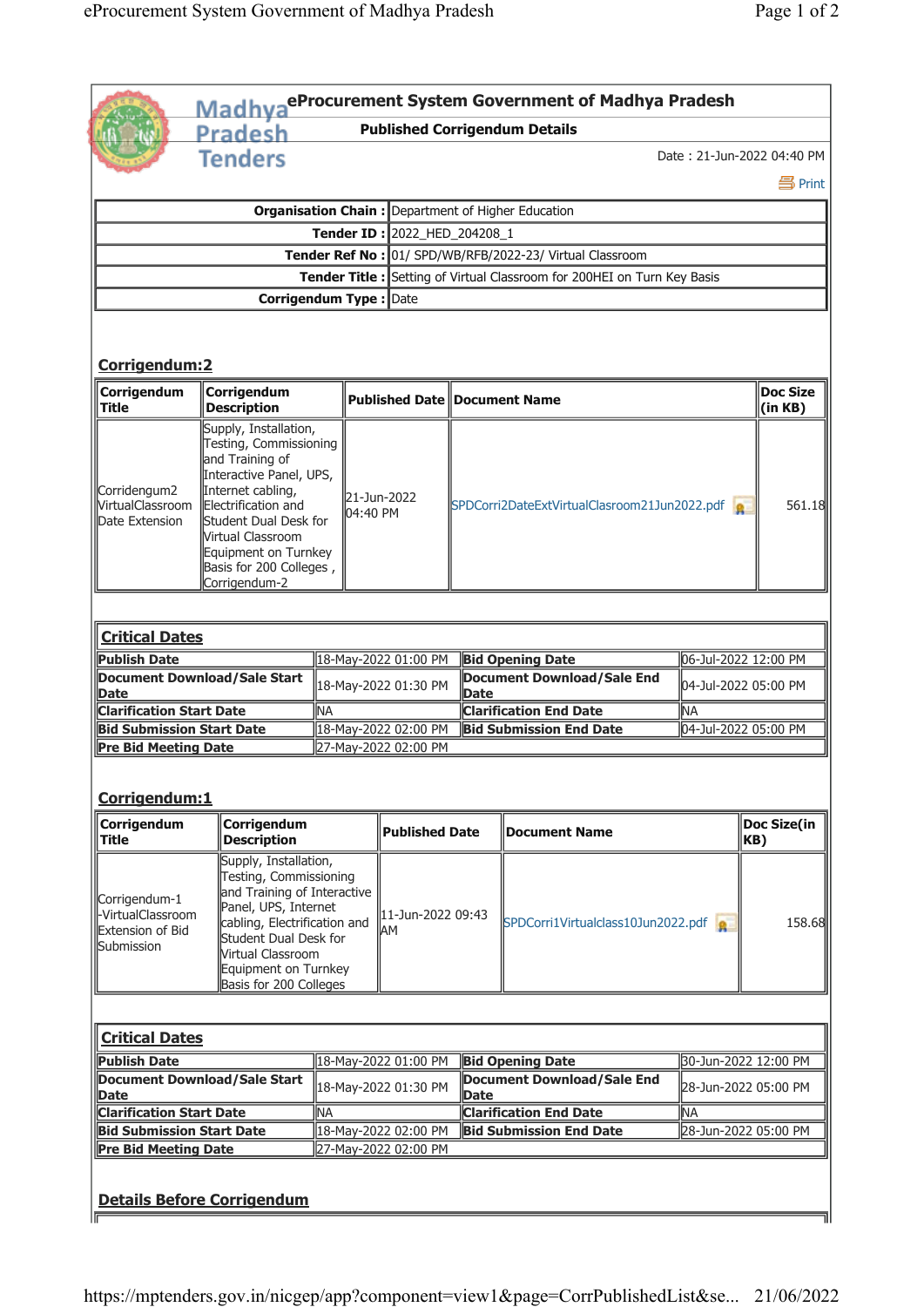|                                                                      |                                                                                                                                                                                                                                                             |           |                                              |                       |                                                  | Madhya <sup>eProcurement System Government of Madhya Pradesh</sup>       |                            |                            |  |
|----------------------------------------------------------------------|-------------------------------------------------------------------------------------------------------------------------------------------------------------------------------------------------------------------------------------------------------------|-----------|----------------------------------------------|-----------------------|--------------------------------------------------|--------------------------------------------------------------------------|----------------------------|----------------------------|--|
|                                                                      | <b>Pradesh</b>                                                                                                                                                                                                                                              |           |                                              |                       |                                                  | <b>Published Corrigendum Details</b>                                     |                            |                            |  |
|                                                                      | <b>Tenders</b>                                                                                                                                                                                                                                              |           |                                              |                       |                                                  |                                                                          | Date: 21-Jun-2022 04:40 PM |                            |  |
|                                                                      |                                                                                                                                                                                                                                                             |           |                                              |                       |                                                  |                                                                          |                            | 昌Print                     |  |
|                                                                      |                                                                                                                                                                                                                                                             |           |                                              |                       |                                                  | <b>Organisation Chain: Department of Higher Education</b>                |                            |                            |  |
| Tender ID: 2022_HED_204208_1                                         |                                                                                                                                                                                                                                                             |           |                                              |                       |                                                  |                                                                          |                            |                            |  |
|                                                                      |                                                                                                                                                                                                                                                             |           |                                              |                       |                                                  | Tender Ref No : 01/ SPD/WB/RFB/2022-23/ Virtual Classroom                |                            |                            |  |
|                                                                      |                                                                                                                                                                                                                                                             |           |                                              |                       |                                                  | Tender Title : Setting of Virtual Classroom for 200HEI on Turn Key Basis |                            |                            |  |
|                                                                      | Corrigendum Type : Date                                                                                                                                                                                                                                     |           |                                              |                       |                                                  |                                                                          |                            |                            |  |
| Corrigendum: 2                                                       |                                                                                                                                                                                                                                                             |           |                                              |                       |                                                  |                                                                          |                            |                            |  |
| Corrigendum<br><b>Title</b>                                          | Corrigendum<br><b>Description</b>                                                                                                                                                                                                                           |           | <b>Published Date Document Name</b>          |                       |                                                  |                                                                          |                            | <b>Doc Size</b><br>(in KB) |  |
| Corridengum2<br><b>VirtualClassroom</b><br>Date Extension            | Supply, Installation,<br>Testing, Commissioning<br>and Training of<br>Interactive Panel, UPS,<br>Internet cabling,<br>Electrification and<br>Student Dual Desk for<br>Nirtual Classroom<br>Equipment on Turnkey<br>Basis for 200 Colleges,<br>Corrigendum-2 |           | 21-Jun-2022<br>04:40 PM                      |                       | SPDCorri2DateExtVirtualClasroom21Jun2022.pdf     |                                                                          |                            | 561.18                     |  |
| <b>Critical Dates</b>                                                |                                                                                                                                                                                                                                                             |           |                                              |                       |                                                  |                                                                          |                            |                            |  |
| <b>Publish Date</b>                                                  |                                                                                                                                                                                                                                                             |           | 18-May-2022 01:00 PM                         |                       |                                                  | 06-Jul-2022 12:00 PM<br><b>Bid Opening Date</b>                          |                            |                            |  |
| Document Download/Sale Start<br><b>Date</b>                          |                                                                                                                                                                                                                                                             |           | 18-May-2022 01:30 PM                         |                       |                                                  | <b>Document Download/Sale End</b><br>04-Jul-2022 05:00 PM<br><b>Date</b> |                            |                            |  |
| <b>Clarification Start Date</b>                                      |                                                                                                                                                                                                                                                             | <b>NA</b> |                                              |                       |                                                  | <b>Clarification End Date</b><br>NA                                      |                            |                            |  |
| <b>Bid Submission Start Date</b><br><b>Pre Bid Meeting Date</b>      |                                                                                                                                                                                                                                                             |           | 18-May-2022 02:00 PM<br>27-May-2022 02:00 PM |                       |                                                  | 04-Jul-2022 05:00 PM<br><b>Bid Submission End Date</b>                   |                            |                            |  |
| Corrigendum:1<br>Corrigendum                                         | Corrigendum                                                                                                                                                                                                                                                 |           |                                              |                       |                                                  |                                                                          |                            | <b>Doc Size(in</b>         |  |
| <b>Title</b>                                                         | <b>Description</b>                                                                                                                                                                                                                                          |           |                                              | <b>Published Date</b> |                                                  | <b>Document Name</b>                                                     |                            | KB)                        |  |
| Corrigendum-1<br>-VirtualClassroom<br>Extension of Bid<br>Submission | Supply, Installation,<br>Testing, Commissioning<br>and Training of Interactive<br>Panel, UPS, Internet<br>cabling, Electrification and<br>Student Dual Desk for<br>Virtual Classroom<br>Equipment on Turnkey<br>Basis for 200 Colleges                      |           | AM                                           | 11-Jun-2022 09:43     |                                                  | SPDCorri1Virtualclass10Jun2022.pdf                                       |                            | 158.68                     |  |
| <b>Critical Dates</b>                                                |                                                                                                                                                                                                                                                             |           |                                              |                       |                                                  |                                                                          |                            |                            |  |
| <b>Publish Date</b>                                                  |                                                                                                                                                                                                                                                             |           | 18-May-2022 01:00 PM                         |                       | <b>Bid Opening Date</b>                          |                                                                          |                            | 30-Jun-2022 12:00 PM       |  |
| Document Download/Sale Start<br>Date                                 |                                                                                                                                                                                                                                                             |           | 18-May-2022 01:30 PM                         |                       | <b>Document Download/Sale End</b><br><b>Date</b> |                                                                          |                            | 28-Jun-2022 05:00 PM       |  |
| <b>Clarification Start Date</b>                                      |                                                                                                                                                                                                                                                             | <b>NA</b> |                                              |                       | <b>Clarification End Date</b>                    |                                                                          | <b>NA</b>                  |                            |  |
| <b>Bid Submission Start Date</b>                                     |                                                                                                                                                                                                                                                             |           | 18-May-2022 02:00 PM<br>27-May-2022 02:00 PM |                       | <b>Bid Submission End Date</b>                   |                                                                          |                            | 28-Jun-2022 05:00 PM       |  |
| Pre Bid Meeting Date                                                 | <b>Details Before Corrigendum</b>                                                                                                                                                                                                                           |           |                                              |                       |                                                  |                                                                          |                            |                            |  |